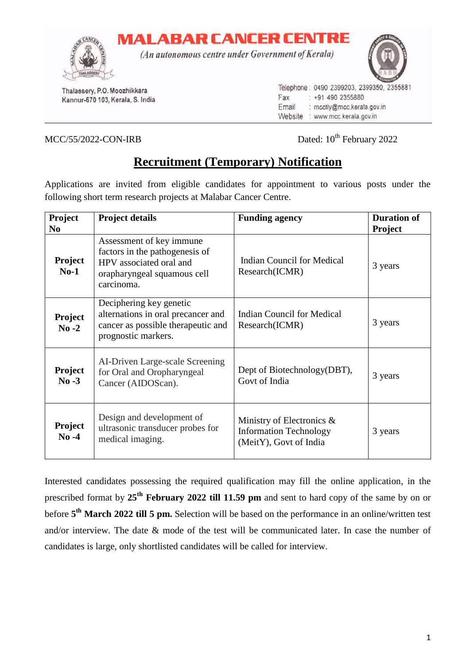**MALABAR CANCER CENTRE** 



(An autonomous centre under Government of Kerala)



Thalassery, P.O. Moozhikkara Kannur-670 103, Kerala, S. India Telephone: 0490 2399203, 2399350, 2355881 : +91 490 2355880 Fax Email : mcctly@mcc.kerala.gov.in Website : www.mcc.kerala.gov.in

 $MCC/55/2022$ -CON-IRB Dated:  $10^{th}$  February 2022

# **Recruitment (Temporary) Notification**

Applications are invited from eligible candidates for appointment to various posts under the following short term research projects at Malabar Cancer Centre.

| Project                   | <b>Project details</b>                                                                                                             | <b>Funding agency</b>                                                                   | <b>Duration of</b> |
|---------------------------|------------------------------------------------------------------------------------------------------------------------------------|-----------------------------------------------------------------------------------------|--------------------|
| N <sub>0</sub>            |                                                                                                                                    |                                                                                         | <b>Project</b>     |
| <b>Project</b><br>$No-1$  | Assessment of key immune<br>factors in the pathogenesis of<br>HPV associated oral and<br>orapharyngeal squamous cell<br>carcinoma. | Indian Council for Medical<br>Research(ICMR)                                            | 3 years            |
| Project<br>$No -2$        | Deciphering key genetic<br>alternations in oral precancer and<br>cancer as possible therapeutic and<br>prognostic markers.         | Indian Council for Medical<br>Research(ICMR)                                            | 3 years            |
| Project<br>$No -3$        | AI-Driven Large-scale Screening<br>for Oral and Oropharyngeal<br>Cancer (AIDOScan).                                                | Dept of Biotechnology(DBT),<br>Govt of India                                            | 3 years            |
| <b>Project</b><br>$No -4$ | Design and development of<br>ultrasonic transducer probes for<br>medical imaging.                                                  | Ministry of Electronics $\&$<br><b>Information Technology</b><br>(MeitY), Govt of India | 3 years            |

Interested candidates possessing the required qualification may fill the online application, in the prescribed format by **25th February 2022 till 11.59 pm** and sent to hard copy of the same by on or before **5 th March 2022 till 5 pm.** Selection will be based on the performance in an online/written test and/or interview. The date & mode of the test will be communicated later. In case the number of candidates is large, only shortlisted candidates will be called for interview.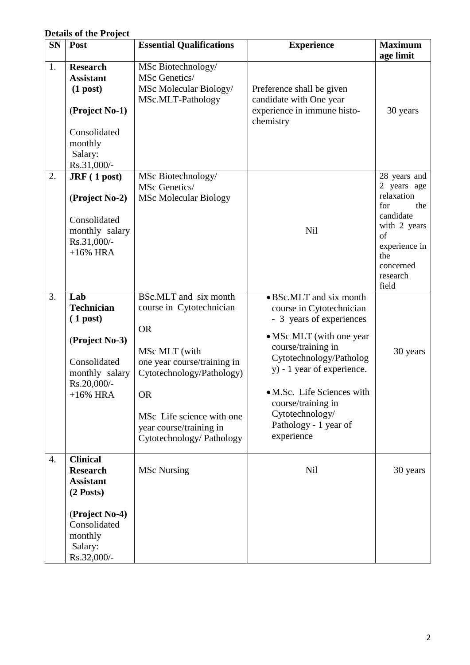## **Details of the Project**

| <b>SN</b> | Post                                                                                                                                         | <b>Essential Qualifications</b>                                                                                                                                                                                                              | <b>Experience</b>                                                                                                                                                                                                                                                                                        | <b>Maximum</b><br>age limit                                                                                                                          |
|-----------|----------------------------------------------------------------------------------------------------------------------------------------------|----------------------------------------------------------------------------------------------------------------------------------------------------------------------------------------------------------------------------------------------|----------------------------------------------------------------------------------------------------------------------------------------------------------------------------------------------------------------------------------------------------------------------------------------------------------|------------------------------------------------------------------------------------------------------------------------------------------------------|
| 1.        | <b>Research</b><br><b>Assistant</b><br>$(1$ post)<br>(Project No-1)<br>Consolidated<br>monthly<br>Salary:<br>Rs.31,000/-                     | MSc Biotechnology/<br>MSc Genetics/<br>MSc Molecular Biology/<br>MSc.MLT-Pathology                                                                                                                                                           | Preference shall be given<br>candidate with One year<br>experience in immune histo-<br>chemistry                                                                                                                                                                                                         | 30 years                                                                                                                                             |
| 2.        | JRF(1 post)<br>(Project No-2)<br>Consolidated<br>monthly salary<br>Rs.31,000/-<br>$+16\%$ HRA                                                | MSc Biotechnology/<br>MSc Genetics/<br><b>MSc Molecular Biology</b>                                                                                                                                                                          | <b>Nil</b>                                                                                                                                                                                                                                                                                               | 28 years and<br>2 years age<br>relaxation<br>for<br>the<br>candidate<br>with 2 years<br>of<br>experience in<br>the<br>concerned<br>research<br>field |
| 3.        | Lab<br><b>Technician</b><br>$(1$ post)<br>(Project No-3)<br>Consolidated<br>monthly salary<br>Rs.20,000/-<br>$+16\%$ HRA                     | BSc.MLT and six month<br>course in Cytotechnician<br><b>OR</b><br>MSc MLT (with<br>one year course/training in<br>Cytotechnology/Pathology)<br><b>OR</b><br>MSc Life science with one<br>year course/training in<br>Cytotechnology/Pathology | • BSc.MLT and six month<br>course in Cytotechnician<br>- 3 years of experiences<br>• MSc MLT (with one year<br>course/training in<br>Cytotechnology/Patholog<br>y) - 1 year of experience.<br>· M.Sc. Life Sciences with<br>course/training in<br>Cytotechnology/<br>Pathology - 1 year of<br>experience | 30 years                                                                                                                                             |
| 4.        | <b>Clinical</b><br><b>Research</b><br><b>Assistant</b><br>$(2$ Posts)<br>(Project No-4)<br>Consolidated<br>monthly<br>Salary:<br>Rs.32,000/- | <b>MSc Nursing</b>                                                                                                                                                                                                                           | <b>Nil</b>                                                                                                                                                                                                                                                                                               | 30 years                                                                                                                                             |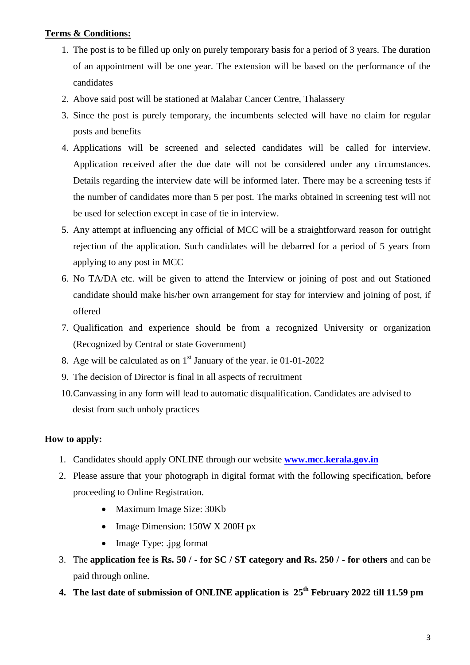#### **Terms & Conditions:**

- 1. The post is to be filled up only on purely temporary basis for a period of 3 years. The duration of an appointment will be one year. The extension will be based on the performance of the candidates
- 2. Above said post will be stationed at Malabar Cancer Centre, Thalassery
- 3. Since the post is purely temporary, the incumbents selected will have no claim for regular posts and benefits
- 4. Applications will be screened and selected candidates will be called for interview. Application received after the due date will not be considered under any circumstances. Details regarding the interview date will be informed later. There may be a screening tests if the number of candidates more than 5 per post. The marks obtained in screening test will not be used for selection except in case of tie in interview.
- 5. Any attempt at influencing any official of MCC will be a straightforward reason for outright rejection of the application. Such candidates will be debarred for a period of 5 years from applying to any post in MCC
- 6. No TA/DA etc. will be given to attend the Interview or joining of post and out Stationed candidate should make his/her own arrangement for stay for interview and joining of post, if offered
- 7. Qualification and experience should be from a recognized University or organization (Recognized by Central or state Government)
- 8. Age will be calculated as on  $1<sup>st</sup>$  January of the year. ie 01-01-2022
- 9. The decision of Director is final in all aspects of recruitment
- 10.Canvassing in any form will lead to automatic disqualification. Candidates are advised to desist from such unholy practices

### **How to apply:**

- 1. Candidates should apply ONLINE through our website **[www.mcc.kerala.gov.in](http://www.mccc.kerala.gov.in/)**
- 2. Please assure that your photograph in digital format with the following specification, before proceeding to Online Registration.
	- Maximum Image Size: 30Kb
	- Image Dimension: 150W X 200H px
	- $\bullet$  Image Type: .jpg format
- 3. The **application fee is Rs. 50 / - for SC / ST category and Rs. 250 / - for others** and can be paid through online.
- **4. The last date of submission of ONLINE application is 25th February 2022 till 11.59 pm**